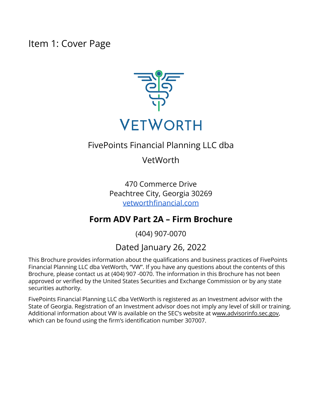<span id="page-0-0"></span>Item 1: Cover Page



## FivePoints Financial Planning LLC dba

## VetWorth

470 Commerce Drive Peachtree City, Georgia 30269 [vetworthfinancial.com](http://vetworthfinancial.com)

## **Form ADV Part 2A – Firm Brochure**

(404) 907-0070

## Dated January 26, 2022

This Brochure provides information about the qualifications and business practices of FivePoints Financial Planning LLC dba VetWorth, "VW". If you have any questions about the contents of this Brochure, please contact us at (404) 907 -0070. The information in this Brochure has not been approved or verified by the United States Securities and Exchange Commission or by any state securities authority.

FivePoints Financial Planning LLC dba VetWorth is registered as an Investment advisor with the State of Georgia. Registration of an Investment advisor does not imply any level of skill or training. Additional information about VW is available on the SEC's website at [www.advisorinfo.sec.gov](http://www.adviserinfo.sec.gov), which can be found using the firm's identification number 307007.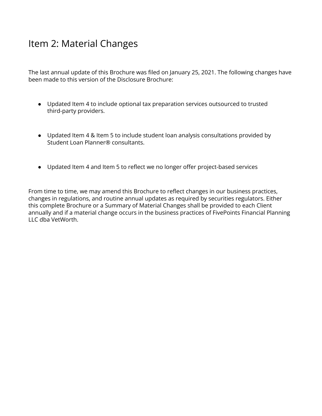## <span id="page-1-0"></span>Item 2: Material Changes

The last annual update of this Brochure was filed on January 25, 2021. The following changes have been made to this version of the Disclosure Brochure:

- Updated Item 4 to include optional tax preparation services outsourced to trusted third-party providers.
- Updated Item 4 & Item 5 to include student loan analysis consultations provided by Student Loan Planner® consultants.
- Updated Item 4 and Item 5 to reflect we no longer offer project-based services

From time to time, we may amend this Brochure to reflect changes in our business practices, changes in regulations, and routine annual updates as required by securities regulators. Either this complete Brochure or a Summary of Material Changes shall be provided to each Client annually and if a material change occurs in the business practices of FivePoints Financial Planning LLC dba VetWorth.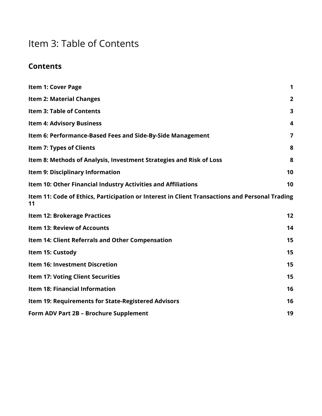# <span id="page-2-0"></span>Item 3: Table of Contents

## **Contents**

| <b>Item 1: Cover Page</b>                                                                            | $\mathbf 1$             |
|------------------------------------------------------------------------------------------------------|-------------------------|
| <b>Item 2: Material Changes</b>                                                                      | $\overline{2}$          |
| <b>Item 3: Table of Contents</b>                                                                     | 3                       |
| <b>Item 4: Advisory Business</b>                                                                     | $\overline{\mathbf{4}}$ |
| Item 6: Performance-Based Fees and Side-By-Side Management                                           | 7                       |
| <b>Item 7: Types of Clients</b>                                                                      | 8                       |
| Item 8: Methods of Analysis, Investment Strategies and Risk of Loss                                  | 8                       |
| <b>Item 9: Disciplinary Information</b>                                                              | 10                      |
| Item 10: Other Financial Industry Activities and Affiliations                                        | 10                      |
| Item 11: Code of Ethics, Participation or Interest in Client Transactions and Personal Trading<br>11 |                         |
| <b>Item 12: Brokerage Practices</b>                                                                  | 12                      |
| <b>Item 13: Review of Accounts</b>                                                                   | 14                      |
| Item 14: Client Referrals and Other Compensation                                                     | 15                      |
| Item 15: Custody                                                                                     | 15                      |
| <b>Item 16: Investment Discretion</b>                                                                | 15                      |
| <b>Item 17: Voting Client Securities</b>                                                             | 15                      |
| <b>Item 18: Financial Information</b>                                                                | 16                      |
| Item 19: Requirements for State-Registered Advisors                                                  | 16                      |
| Form ADV Part 2B - Brochure Supplement                                                               | 19                      |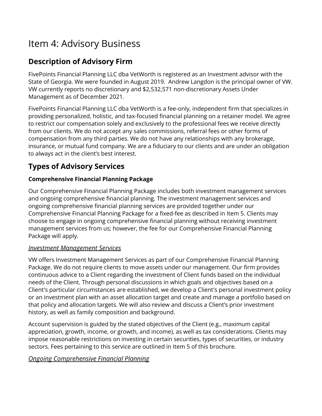## <span id="page-3-0"></span>Item 4: Advisory Business

## **Description of Advisory Firm**

FivePoints Financial Planning LLC dba VetWorth is registered as an Investment advisor with the State of Georgia. We were founded in August 2019. Andrew Langdon is the principal owner of VW. VW currently reports no discretionary and \$2,532,571 non-discretionary Assets Under Management as of December 2021.

FivePoints Financial Planning LLC dba VetWorth is a fee-only, independent firm that specializes in providing personalized, holistic, and tax-focused financial planning on a retainer model. We agree to restrict our compensation solely and exclusively to the professional fees we receive directly from our clients. We do not accept any sales commissions, referral fees or other forms of compensation from any third parties. We do not have any relationships with any brokerage, insurance, or mutual fund company. We are a fiduciary to our clients and are under an obligation to always act in the client's best interest.

## **Types of Advisory Services**

### **Comprehensive Financial Planning Package**

Our Comprehensive Financial Planning Package includes both investment management services and ongoing comprehensive financial planning. The investment management services and ongoing comprehensive financial planning services are provided together under our Comprehensive Financial Planning Package for a fixed-fee as described in Item 5. Clients may choose to engage in ongoing comprehensive financial planning without receiving investment management services from us; however, the fee for our Comprehensive Financial Planning Package will apply.

### *Investment Management Services*

VW offers Investment Management Services as part of our Comprehensive Financial Planning Package. We do not require clients to move assets under our management. Our firm provides continuous advice to a Client regarding the investment of Client funds based on the individual needs of the Client. Through personal discussions in which goals and objectives based on a Client's particular circumstances are established, we develop a Client's personal investment policy or an investment plan with an asset allocation target and create and manage a portfolio based on that policy and allocation targets. We will also review and discuss a Client's prior investment history, as well as family composition and background.

Account supervision is guided by the stated objectives of the Client (e.g., maximum capital appreciation, growth, income, or growth, and income), as well as tax considerations. Clients may impose reasonable restrictions on investing in certain securities, types of securities, or industry sectors. Fees pertaining to this service are outlined in Item 5 of this brochure.

## *Ongoing Comprehensive Financial Planning*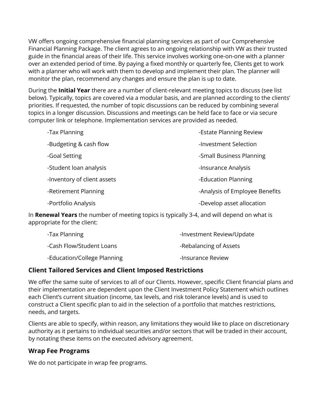VW offers ongoing comprehensive financial planning services as part of our Comprehensive Financial Planning Package. The client agrees to an ongoing relationship with VW as their trusted guide in the financial areas of their life. This service involves working one-on-one with a planner over an extended period of time. By paying a fixed monthly or quarterly fee, Clients get to work with a planner who will work with them to develop and implement their plan. The planner will monitor the plan, recommend any changes and ensure the plan is up to date.

During the **Initial Year** there are a number of client-relevant meeting topics to discuss (see list below). Typically, topics are covered via a modular basis, and are planned according to the clients' priorities. If requested, the number of topic discussions can be reduced by combining several topics in a longer discussion. Discussions and meetings can be held face to face or via secure computer link or telephone. Implementation services are provided as needed.

| -Tax Planning               | -Estate Planning Review        |
|-----------------------------|--------------------------------|
| -Budgeting & cash flow      | -Investment Selection          |
| -Goal Setting               | -Small Business Planning       |
| -Student loan analysis      | -Insurance Analysis            |
| -Inventory of client assets | -Education Planning            |
| -Retirement Planning        | -Analysis of Employee Benefits |
| -Portfolio Analysis         | -Develop asset allocation      |
|                             |                                |

In **Renewal Years** the number of meeting topics is typically 3-4, and will depend on what is appropriate for the client:

| -Tax Planning               | -Investment Review/Update |
|-----------------------------|---------------------------|
| -Cash Flow/Student Loans    | -Rebalancing of Assets    |
| -Education/College Planning | -Insurance Review         |

#### **Client Tailored Services and Client Imposed Restrictions**

We offer the same suite of services to all of our Clients. However, specific Client financial plans and their implementation are dependent upon the Client Investment Policy Statement which outlines each Client's current situation (income, tax levels, and risk tolerance levels) and is used to construct a Client specific plan to aid in the selection of a portfolio that matches restrictions, needs, and targets.

Clients are able to specify, within reason, any limitations they would like to place on discretionary authority as it pertains to individual securities and/or sectors that will be traded in their account, by notating these items on the executed advisory agreement.

### **Wrap Fee Programs**

We do not participate in wrap fee programs.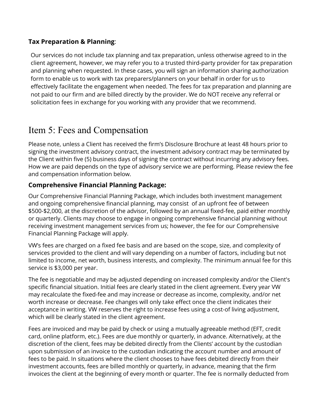#### **Tax Preparation & Planning**:

Our services do not include tax planning and tax preparation, unless otherwise agreed to in the client agreement, however, we may refer you to a trusted third-party provider for tax preparation and planning when requested. In these cases, you will sign an information sharing authorization form to enable us to work with tax preparers/planners on your behalf in order for us to effectively facilitate the engagement when needed. The fees for tax preparation and planning are not paid to our firm and are billed directly by the provider. We do NOT receive any referral or solicitation fees in exchange for you working with any provider that we recommend.

## Item 5: Fees and Compensation

Please note, unless a Client has received the firm's Disclosure Brochure at least 48 hours prior to signing the investment advisory contract, the investment advisory contract may be terminated by the Client within five (5) business days of signing the contract without incurring any advisory fees. How we are paid depends on the type of advisory service we are performing. Please review the fee and compensation information below.

### **Comprehensive Financial Planning Package:**

Our Comprehensive Financial Planning Package, which includes both investment management and ongoing comprehensive financial planning, may consist of an upfront fee of between \$500-\$2,000, at the discretion of the advisor, followed by an annual fixed-fee, paid either monthly or quarterly. Clients may choose to engage in ongoing comprehensive financial planning without receiving investment management services from us; however, the fee for our Comprehensive Financial Planning Package will apply.

VW's fees are charged on a fixed fee basis and are based on the scope, size, and complexity of services provided to the client and will vary depending on a number of factors, including but not limited to income, net worth, business interests, and complexity. The minimum annual fee for this service is \$3,000 per year.

The fee is negotiable and may be adjusted depending on increased complexity and/or the Client's specific financial situation. Initial fees are clearly stated in the client agreement. Every year VW may recalculate the fixed-fee and may increase or decrease as income, complexity, and/or net worth increase or decrease. Fee changes will only take effect once the client indicates their acceptance in writing. VW reserves the right to increase fees using a cost-of living adjustment, which will be clearly stated in the client agreement.

Fees are invoiced and may be paid by check or using a mutually agreeable method (EFT, credit card, online platform, etc.). Fees are due monthly or quarterly, in advance. Alternatively, at the discretion of the client, fees may be debited directly from the Clients' account by the custodian upon submission of an invoice to the custodian indicating the account number and amount of fees to be paid. In situations where the client chooses to have fees debited directly from their investment accounts, fees are billed monthly or quarterly, in advance, meaning that the firm invoices the client at the beginning of every month or quarter. The fee is normally deducted from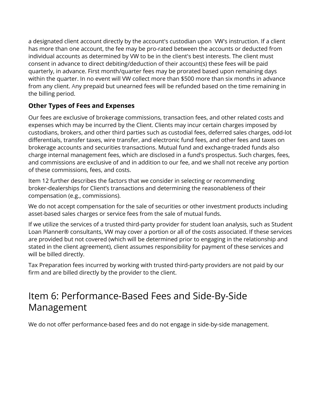a designated client account directly by the account's custodian upon VW's instruction. If a client has more than one account, the fee may be pro-rated between the accounts or deducted from individual accounts as determined by VW to be in the client's best interests. The client must consent in advance to direct debiting/deduction of their account(s) these fees will be paid quarterly, in advance. First month/quarter fees may be prorated based upon remaining days within the quarter. In no event will VW collect more than \$500 more than six months in advance from any client. Any prepaid but unearned fees will be refunded based on the time remaining in the billing period.

## **Other Types of Fees and Expenses**

Our fees are exclusive of brokerage commissions, transaction fees, and other related costs and expenses which may be incurred by the Client. Clients may incur certain charges imposed by custodians, brokers, and other third parties such as custodial fees, deferred sales charges, odd-lot differentials, transfer taxes, wire transfer, and electronic fund fees, and other fees and taxes on brokerage accounts and securities transactions. Mutual fund and exchange-traded funds also charge internal management fees, which are disclosed in a fund's prospectus. Such charges, fees, and commissions are exclusive of and in addition to our fee, and we shall not receive any portion of these commissions, fees, and costs.

Item 12 further describes the factors that we consider in selecting or recommending broker-dealerships for Client's transactions and determining the reasonableness of their compensation (e.g., commissions).

We do not accept compensation for the sale of securities or other investment products including asset-based sales charges or service fees from the sale of mutual funds.

If we utilize the services of a trusted third-party provider for student loan analysis, such as Student Loan Planner® consultants, VW may cover a portion or all of the costs associated. If these services are provided but not covered (which will be determined prior to engaging in the relationship and stated in the client agreement), client assumes responsibility for payment of these services and will be billed directly.

Tax Preparation fees incurred by working with trusted third-party providers are not paid by our firm and are billed directly by the provider to the client.

## <span id="page-6-0"></span>Item 6: Performance-Based Fees and Side-By-Side Management

We do not offer performance-based fees and do not engage in side-by-side management.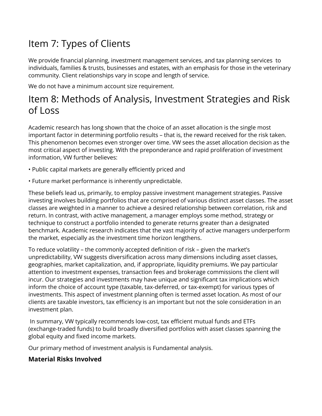# <span id="page-7-0"></span>Item 7: Types of Clients

We provide financial planning, investment management services, and tax planning services to individuals, families & trusts, businesses and estates, with an emphasis for those in the veterinary community. Client relationships vary in scope and length of service.

We do not have a minimum account size requirement.

## <span id="page-7-1"></span>Item 8: Methods of Analysis, Investment Strategies and Risk of Loss

Academic research has long shown that the choice of an asset allocation is the single most important factor in determining portfolio results – that is, the reward received for the risk taken. This phenomenon becomes even stronger over time. VW sees the asset allocation decision as the most critical aspect of investing. With the preponderance and rapid proliferation of investment information, VW further believes:

- Public capital markets are generally efficiently priced and
- Future market performance is inherently unpredictable.

These beliefs lead us, primarily, to employ passive investment management strategies. Passive investing involves building portfolios that are comprised of various distinct asset classes. The asset classes are weighted in a manner to achieve a desired relationship between correlation, risk and return. In contrast, with active management, a manager employs some method, strategy or technique to construct a portfolio intended to generate returns greater than a designated benchmark. Academic research indicates that the vast majority of active managers underperform the market, especially as the investment time horizon lengthens.

To reduce volatility – the commonly accepted definition of risk – given the market's unpredictability, VW suggests diversification across many dimensions including asset classes, geographies, market capitalization, and, if appropriate, liquidity premiums. We pay particular attention to investment expenses, transaction fees and brokerage commissions the client will incur. Our strategies and investments may have unique and significant tax implications which inform the choice of account type (taxable, tax-deferred, or tax-exempt) for various types of investments. This aspect of investment planning often is termed asset location. As most of our clients are taxable investors, tax efficiency is an important but not the sole consideration in an investment plan.

In summary, VW typically recommends low-cost, tax efficient mutual funds and ETFs (exchange-traded funds) to build broadly diversified portfolios with asset classes spanning the global equity and fixed income markets.

Our primary method of investment analysis is Fundamental analysis.

## **Material Risks Involved**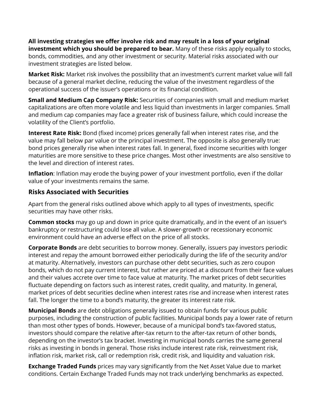**All investing strategies we offer involve risk and may result in a loss of your original investment which you should be prepared to bear.** Many of these risks apply equally to stocks, bonds, commodities, and any other investment or security. Material risks associated with our investment strategies are listed below.

**Market Risk:** Market risk involves the possibility that an investment's current market value will fall because of a general market decline, reducing the value of the investment regardless of the operational success of the issuer's operations or its financial condition.

**Small and Medium Cap Company Risk:** Securities of companies with small and medium market capitalizations are often more volatile and less liquid than investments in larger companies. Small and medium cap companies may face a greater risk of business failure, which could increase the volatility of the Client's portfolio.

**Interest Rate Risk:** Bond (fixed income) prices generally fall when interest rates rise, and the value may fall below par value or the principal investment. The opposite is also generally true: bond prices generally rise when interest rates fall. In general, fixed income securities with longer maturities are more sensitive to these price changes. Most other investments are also sensitive to the level and direction of interest rates.

**Inflation**: Inflation may erode the buying power of your investment portfolio, even if the dollar value of your investments remains the same.

#### **Risks Associated with Securities**

Apart from the general risks outlined above which apply to all types of investments, specific securities may have other risks.

**Common stocks** may go up and down in price quite dramatically, and in the event of an issuer's bankruptcy or restructuring could lose all value. A slower-growth or recessionary economic environment could have an adverse effect on the price of all stocks.

**Corporate Bonds** are debt securities to borrow money. Generally, issuers pay investors periodic interest and repay the amount borrowed either periodically during the life of the security and/or at maturity. Alternatively, investors can purchase other debt securities, such as zero coupon bonds, which do not pay current interest, but rather are priced at a discount from their face values and their values accrete over time to face value at maturity. The market prices of debt securities fluctuate depending on factors such as interest rates, credit quality, and maturity. In general, market prices of debt securities decline when interest rates rise and increase when interest rates fall. The longer the time to a bond's maturity, the greater its interest rate risk.

**Municipal Bonds** are debt obligations generally issued to obtain funds for various public purposes, including the construction of public facilities. Municipal bonds pay a lower rate of return than most other types of bonds. However, because of a municipal bond's tax-favored status, investors should compare the relative after-tax return to the after-tax return of other bonds, depending on the investor's tax bracket. Investing in municipal bonds carries the same general risks as investing in bonds in general. Those risks include interest rate risk, reinvestment risk, inflation risk, market risk, call or redemption risk, credit risk, and liquidity and valuation risk.

**Exchange Traded Funds** prices may vary significantly from the Net Asset Value due to market conditions. Certain Exchange Traded Funds may not track underlying benchmarks as expected.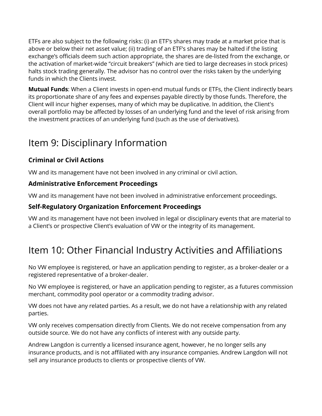ETFs are also subject to the following risks: (i) an ETF's shares may trade at a market price that is above or below their net asset value; (ii) trading of an ETF's shares may be halted if the listing exchange's officials deem such action appropriate, the shares are de-listed from the exchange, or the activation of market-wide "circuit breakers" (which are tied to large decreases in stock prices) halts stock trading generally. The advisor has no control over the risks taken by the underlying funds in which the Clients invest.

**Mutual Funds**: When a Client invests in open-end mutual funds or ETFs, the Client indirectly bears its proportionate share of any fees and expenses payable directly by those funds. Therefore, the Client will incur higher expenses, many of which may be duplicative. In addition, the Client's overall portfolio may be affected by losses of an underlying fund and the level of risk arising from the investment practices of an underlying fund (such as the use of derivatives).

# <span id="page-9-0"></span>Item 9: Disciplinary Information

## **Criminal or Civil Actions**

VW and its management have not been involved in any criminal or civil action.

### **Administrative Enforcement Proceedings**

VW and its management have not been involved in administrative enforcement proceedings.

## **Self-Regulatory Organization Enforcement Proceedings**

VW and its management have not been involved in legal or disciplinary events that are material to a Client's or prospective Client's evaluation of VW or the integrity of its management.

# <span id="page-9-1"></span>Item 10: Other Financial Industry Activities and Affiliations

No VW employee is registered, or have an application pending to register, as a broker-dealer or a registered representative of a broker-dealer.

No VW employee is registered, or have an application pending to register, as a futures commission merchant, commodity pool operator or a commodity trading advisor.

VW does not have any related parties. As a result, we do not have a relationship with any related parties.

VW only receives compensation directly from Clients. We do not receive compensation from any outside source. We do not have any conflicts of interest with any outside party.

Andrew Langdon is currently a licensed insurance agent, however, he no longer sells any insurance products, and is not affiliated with any insurance companies. Andrew Langdon will not sell any insurance products to clients or prospective clients of VW.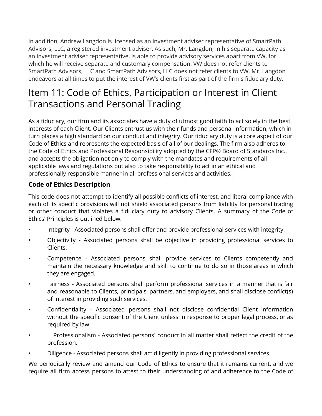In addition, Andrew Langdon is licensed as an investment adviser representative of SmartPath Advisors, LLC, a registered investment adviser. As such, Mr. Langdon, in his separate capacity as an investment adviser representative, is able to provide advisory services apart from VW, for which he will receive separate and customary compensation. VW does not refer clients to SmartPath Advisors, LLC and SmartPath Advisors, LLC does not refer clients to VW. Mr. Langdon endeavors at all times to put the interest of VW's clients first as part of the firm's fiduciary duty.

## <span id="page-10-0"></span>Item 11: Code of Ethics, Participation or Interest in Client Transactions and Personal Trading

As a fiduciary, our firm and its associates have a duty of utmost good faith to act solely in the best interests of each Client. Our Clients entrust us with their funds and personal information, which in turn places a high standard on our conduct and integrity. Our fiduciary duty is a core aspect of our Code of Ethics and represents the expected basis of all of our dealings. The firm also adheres to the Code of Ethics and Professional Responsibility adopted by the CFP® Board of Standards Inc., and accepts the obligation not only to comply with the mandates and requirements of all applicable laws and regulations but also to take responsibility to act in an ethical and professionally responsible manner in all professional services and activities.

### **Code of Ethics Description**

This code does not attempt to identify all possible conflicts of interest, and literal compliance with each of its specific provisions will not shield associated persons from liability for personal trading or other conduct that violates a fiduciary duty to advisory Clients. A summary of the Code of Ethics' Principles is outlined below.

- Integrity Associated persons shall offer and provide professional services with integrity.
- Objectivity Associated persons shall be objective in providing professional services to Clients.
- Competence Associated persons shall provide services to Clients competently and maintain the necessary knowledge and skill to continue to do so in those areas in which they are engaged.
- Fairness Associated persons shall perform professional services in a manner that is fair and reasonable to Clients, principals, partners, and employers, and shall disclose conflict(s) of interest in providing such services.
- Confidentiality Associated persons shall not disclose confidential Client information without the specific consent of the Client unless in response to proper legal process, or as required by law.
- Professionalism Associated persons' conduct in all matter shall reflect the credit of the profession.
- Diligence Associated persons shall act diligently in providing professional services.

We periodically review and amend our Code of Ethics to ensure that it remains current, and we require all firm access persons to attest to their understanding of and adherence to the Code of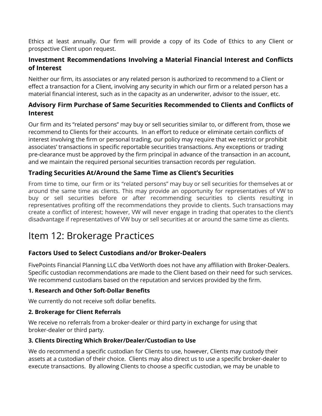Ethics at least annually. Our firm will provide a copy of its Code of Ethics to any Client or prospective Client upon request.

### **Investment Recommendations Involving a Material Financial Interest and Conflicts of Interest**

Neither our firm, its associates or any related person is authorized to recommend to a Client or effect a transaction for a Client, involving any security in which our firm or a related person has a material financial interest, such as in the capacity as an underwriter, advisor to the issuer, etc.

### **Advisory Firm Purchase of Same Securities Recommended to Clients and Conflicts of Interest**

Our firm and its "related persons" may buy or sell securities similar to, or different from, those we recommend to Clients for their accounts. In an effort to reduce or eliminate certain conflicts of interest involving the firm or personal trading, our policy may require that we restrict or prohibit associates' transactions in specific reportable securities transactions. Any exceptions or trading pre-clearance must be approved by the firm principal in advance of the transaction in an account, and we maintain the required personal securities transaction records per regulation.

### **Trading Securities At/Around the Same Time as Client's Securities**

From time to time, our firm or its "related persons" may buy or sell securities for themselves at or around the same time as clients. This may provide an opportunity for representatives of VW to buy or sell securities before or after recommending securities to clients resulting in representatives profiting off the recommendations they provide to clients. Such transactions may create a conflict of interest; however, VW will never engage in trading that operates to the client's disadvantage if representatives of VW buy or sell securities at or around the same time as clients.

## <span id="page-11-0"></span>Item 12: Brokerage Practices

### **Factors Used to Select Custodians and/or Broker-Dealers**

FivePoints Financial Planning LLC dba VetWorth does not have any affiliation with Broker-Dealers. Specific custodian recommendations are made to the Client based on their need for such services. We recommend custodians based on the reputation and services provided by the firm.

### **1. Research and Other Soft-Dollar Benefits**

We currently do not receive soft dollar benefits.

### **2. Brokerage for Client Referrals**

We receive no referrals from a broker-dealer or third party in exchange for using that broker-dealer or third party.

### **3. Clients Directing Which Broker/Dealer/Custodian to Use**

We do recommend a specific custodian for Clients to use, however, Clients may custody their assets at a custodian of their choice. Clients may also direct us to use a specific broker-dealer to execute transactions. By allowing Clients to choose a specific custodian, we may be unable to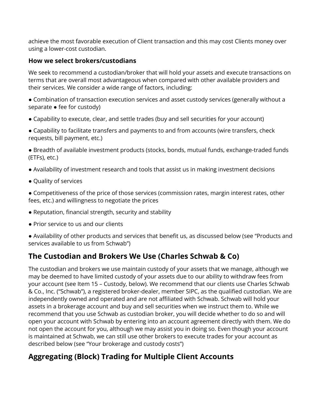achieve the most favorable execution of Client transaction and this may cost Clients money over using a lower-cost custodian.

#### **How we select brokers/custodians**

We seek to recommend a custodian/broker that will hold your assets and execute transactions on terms that are overall most advantageous when compared with other available providers and their services. We consider a wide range of factors, including:

● Combination of transaction execution services and asset custody services (generally without a separate • fee for custody)

● Capability to execute, clear, and settle trades (buy and sell securities for your account)

● Capability to facilitate transfers and payments to and from accounts (wire transfers, check requests, bill payment, etc.)

● Breadth of available investment products (stocks, bonds, mutual funds, exchange-traded funds (ETFs), etc.)

- Availability of investment research and tools that assist us in making investment decisions
- Quality of services

● Competitiveness of the price of those services (commission rates, margin interest rates, other fees, etc.) and willingness to negotiate the prices

- Reputation, financial strength, security and stability
- Prior service to us and our clients

● Availability of other products and services that benefit us, as discussed below (see "Products and services available to us from Schwab")

## **The Custodian and Brokers We Use (Charles Schwab & Co)**

The custodian and brokers we use maintain custody of your assets that we manage, although we may be deemed to have limited custody of your assets due to our ability to withdraw fees from your account (see Item 15 – Custody, below). We recommend that our clients use Charles Schwab & Co., Inc. ("Schwab"), a registered broker-dealer, member SIPC, as the qualified custodian. We are independently owned and operated and are not affiliated with Schwab. Schwab will hold your assets in a brokerage account and buy and sell securities when we instruct them to. While we recommend that you use Schwab as custodian broker, you will decide whether to do so and will open your account with Schwab by entering into an account agreement directly with them. We do not open the account for you, although we may assist you in doing so. Even though your account is maintained at Schwab, we can still use other brokers to execute trades for your account as described below (see "Your brokerage and custody costs")

## **Aggregating (Block) Trading for Multiple Client Accounts**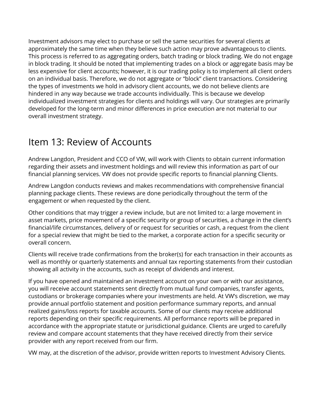Investment advisors may elect to purchase or sell the same securities for several clients at approximately the same time when they believe such action may prove advantageous to clients. This process is referred to as aggregating orders, batch trading or block trading. We do not engage in block trading. It should be noted that implementing trades on a block or aggregate basis may be less expensive for client accounts; however, it is our trading policy is to implement all client orders on an individual basis. Therefore, we do not aggregate or "block" client transactions. Considering the types of investments we hold in advisory client accounts, we do not believe clients are hindered in any way because we trade accounts individually. This is because we develop individualized investment strategies for clients and holdings will vary. Our strategies are primarily developed for the long-term and minor differences in price execution are not material to our overall investment strategy.

## <span id="page-13-0"></span>Item 13: Review of Accounts

Andrew Langdon, President and CCO of VW, will work with Clients to obtain current information regarding their assets and investment holdings and will review this information as part of our financial planning services. VW does not provide specific reports to financial planning Clients.

Andrew Langdon conducts reviews and makes recommendations with comprehensive financial planning package clients. These reviews are done periodically throughout the term of the engagement or when requested by the client.

Other conditions that may trigger a review include, but are not limited to: a large movement in asset markets, price movement of a specific security or group of securities, a change in the client's financial/life circumstances, delivery of or request for securities or cash, a request from the client for a special review that might be tied to the market, a corporate action for a specific security or overall concern.

Clients will receive trade confirmations from the broker(s) for each transaction in their accounts as well as monthly or quarterly statements and annual tax reporting statements from their custodian showing all activity in the accounts, such as receipt of dividends and interest.

If you have opened and maintained an investment account on your own or with our assistance, you will receive account statements sent directly from mutual fund companies, transfer agents, custodians or brokerage companies where your investments are held. At VW's discretion, we may provide annual portfolio statement and position performance summary reports, and annual realized gains/loss reports for taxable accounts. Some of our clients may receive additional reports depending on their specific requirements. All performance reports will be prepared in accordance with the appropriate statute or jurisdictional guidance. Clients are urged to carefully review and compare account statements that they have received directly from their service provider with any report received from our firm.

VW may, at the discretion of the advisor, provide written reports to Investment Advisory Clients.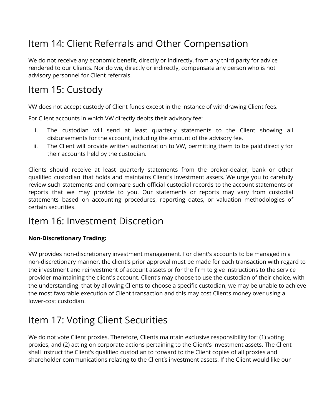# <span id="page-14-0"></span>Item 14: Client Referrals and Other Compensation

We do not receive any economic benefit, directly or indirectly, from any third party for advice rendered to our Clients. Nor do we, directly or indirectly, compensate any person who is not advisory personnel for Client referrals.

## <span id="page-14-1"></span>Item 15: Custody

VW does not accept custody of Client funds except in the instance of withdrawing Client fees.

For Client accounts in which VW directly debits their advisory fee:

- i. The custodian will send at least quarterly statements to the Client showing all disbursements for the account, including the amount of the advisory fee.
- ii. The Client will provide written authorization to VW, permitting them to be paid directly for their accounts held by the custodian.

Clients should receive at least quarterly statements from the broker-dealer, bank or other qualified custodian that holds and maintains Client's investment assets. We urge you to carefully review such statements and compare such official custodial records to the account statements or reports that we may provide to you. Our statements or reports may vary from custodial statements based on accounting procedures, reporting dates, or valuation methodologies of certain securities.

## <span id="page-14-2"></span>Item 16: Investment Discretion

### **Non-Discretionary Trading:**

VW provides non-discretionary investment management. For client's accounts to be managed in a non-discretionary manner, the client's prior approval must be made for each transaction with regard to the investment and reinvestment of account assets or for the firm to give instructions to the service provider maintaining the client's account. Client's may choose to use the custodian of their choice, with the understanding that by allowing Clients to choose a specific custodian, we may be unable to achieve the most favorable execution of Client transaction and this may cost Clients money over using a lower-cost custodian.

## <span id="page-14-3"></span>Item 17: Voting Client Securities

We do not vote Client proxies. Therefore, Clients maintain exclusive responsibility for: (1) voting proxies, and (2) acting on corporate actions pertaining to the Client's investment assets. The Client shall instruct the Client's qualified custodian to forward to the Client copies of all proxies and shareholder communications relating to the Client's investment assets. If the Client would like our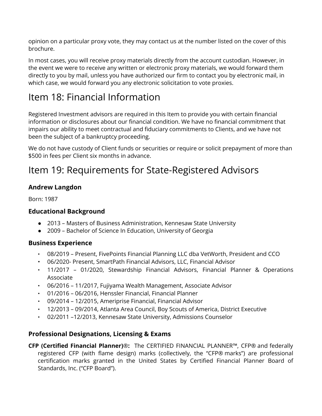opinion on a particular proxy vote, they may contact us at the number listed on the cover of this brochure.

In most cases, you will receive proxy materials directly from the account custodian. However, in the event we were to receive any written or electronic proxy materials, we would forward them directly to you by mail, unless you have authorized our firm to contact you by electronic mail, in which case, we would forward you any electronic solicitation to vote proxies.

# <span id="page-15-0"></span>Item 18: Financial Information

Registered Investment advisors are required in this Item to provide you with certain financial information or disclosures about our financial condition. We have no financial commitment that impairs our ability to meet contractual and fiduciary commitments to Clients, and we have not been the subject of a bankruptcy proceeding.

We do not have custody of Client funds or securities or require or solicit prepayment of more than \$500 in fees per Client six months in advance.

## <span id="page-15-1"></span>Item 19: Requirements for State-Registered Advisors

### **Andrew Langdon**

Born: 1987

### **Educational Background**

- 2013 Masters of Business Administration, Kennesaw State University
- 2009 Bachelor of Science In Education, University of Georgia

### **Business Experience**

- 08/2019 Present, FivePoints Financial Planning LLC dba VetWorth, President and CCO
- 06/2020- Present, SmartPath Financial Advisors, LLC, Financial Advisor
- 11/2017 01/2020, Stewardship Financial Advisors, Financial Planner & Operations Associate
- 06/2016 11/2017, Fujiyama Wealth Management, Associate Advisor
- 01/2016 06/2016, Henssler Financial, Financial Planner
- 09/2014 12/2015, Ameriprise Financial, Financial Advisor
- 12/2013 09/2014, Atlanta Area Council, Boy Scouts of America, District Executive
- 02/2011 –12/2013, Kennesaw State University, Admissions Counselor

#### **Professional Designations, Licensing & Exams**

**CFP (Certified Financial Planner)**®**:** The CERTIFIED FINANCIAL PLANNER™, CFP® and federally registered CFP (with flame design) marks (collectively, the "CFP® marks") are professional certification marks granted in the United States by Certified Financial Planner Board of Standards, Inc. ("CFP Board").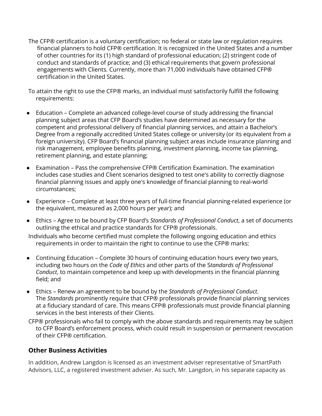The CFP® certification is a voluntary certification; no federal or state law or regulation requires financial planners to hold CFP® certification. It is recognized in the United States and a number of other countries for its (1) high standard of professional education; (2) stringent code of conduct and standards of practice; and (3) ethical requirements that govern professional engagements with Clients. Currently, more than 71,000 individuals have obtained CFP® certification in the United States.

To attain the right to use the CFP® marks, an individual must satisfactorily fulfill the following requirements:

- Education Complete an advanced college-level course of study addressing the financial planning subject areas that CFP Board's studies have determined as necessary for the competent and professional delivery of financial planning services, and attain a Bachelor's Degree from a regionally accredited United States college or university (or its equivalent from a foreign university). CFP Board's financial planning subject areas include insurance planning and risk management, employee benefits planning, investment planning, income tax planning, retirement planning, and estate planning;
- Examination Pass the comprehensive CFP® Certification Examination. The examination includes case studies and Client scenarios designed to test one's ability to correctly diagnose financial planning issues and apply one's knowledge of financial planning to real-world circumstances;
- Experience Complete at least three years of full-time financial planning-related experience (or the equivalent, measured as 2,000 hours per year); and
- Ethics Agree to be bound by CFP Board's *Standards of Professional Conduct*, a set of documents outlining the ethical and practice standards for CFP® professionals.

Individuals who become certified must complete the following ongoing education and ethics requirements in order to maintain the right to continue to use the CFP® marks:

- Continuing Education Complete 30 hours of continuing education hours every two years, including two hours on the *Code of Ethics* and other parts of the S*tandards of Professional Conduct*, to maintain competence and keep up with developments in the financial planning field; and
- Ethics Renew an agreement to be bound by the *Standards of Professional Conduct*. The *Standards* prominently require that CFP® professionals provide financial planning services at a fiduciary standard of care. This means CFP® professionals must provide financial planning services in the best interests of their Clients.
- CFP® professionals who fail to comply with the above standards and requirements may be subject to CFP Board's enforcement process, which could result in suspension or permanent revocation of their CFP® certification.

#### **Other Business Activities**

In addition, Andrew Langdon is licensed as an investment adviser representative of SmartPath Advisors, LLC, a registered investment adviser. As such, Mr. Langdon, in his separate capacity as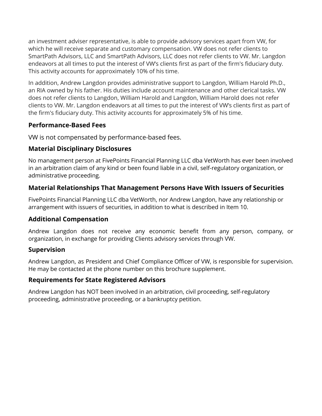an investment adviser representative, is able to provide advisory services apart from VW, for which he will receive separate and customary compensation. VW does not refer clients to SmartPath Advisors, LLC and SmartPath Advisors, LLC does not refer clients to VW. Mr. Langdon endeavors at all times to put the interest of VW's clients first as part of the firm's fiduciary duty. This activity accounts for approximately 10% of his time.

In addition, Andrew Langdon provides administrative support to Langdon, William Harold Ph.D., an RIA owned by his father. His duties include account maintenance and other clerical tasks. VW does not refer clients to Langdon, William Harold and Langdon, William Harold does not refer clients to VW. Mr. Langdon endeavors at all times to put the interest of VW's clients first as part of the firm's fiduciary duty. This activity accounts for approximately 5% of his time.

### **Performance-Based Fees**

VW is not compensated by performance-based fees.

### **Material Disciplinary Disclosures**

No management person at FivePoints Financial Planning LLC dba VetWorth has ever been involved in an arbitration claim of any kind or been found liable in a civil, self-regulatory organization, or administrative proceeding.

## **Material Relationships That Management Persons Have With Issuers of Securities**

FivePoints Financial Planning LLC dba VetWorth, nor Andrew Langdon, have any relationship or arrangement with issuers of securities, in addition to what is described in Item 10.

### **Additional Compensation**

Andrew Langdon does not receive any economic benefit from any person, company, or organization, in exchange for providing Clients advisory services through VW.

### **Supervision**

Andrew Langdon, as President and Chief Compliance Officer of VW, is responsible for supervision. He may be contacted at the phone number on this brochure supplement.

### **Requirements for State Registered Advisors**

Andrew Langdon has NOT been involved in an arbitration, civil proceeding, self-regulatory proceeding, administrative proceeding, or a bankruptcy petition.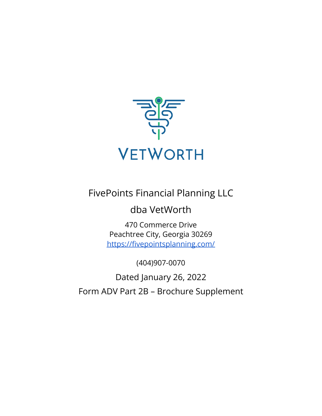

## FivePoints Financial Planning LLC

## dba VetWorth

470 Commerce Drive Peachtree City, Georgia 30269 <https://fivepointsplanning.com/>

(404)907-0070

<span id="page-18-0"></span>Dated January 26, 2022 Form ADV Part 2B – Brochure Supplement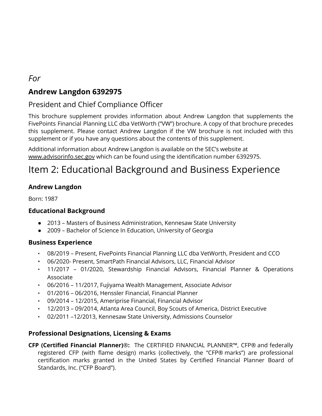## *For*

## **Andrew Langdon 6392975**

## President and Chief Compliance Officer

This brochure supplement provides information about Andrew Langdon that supplements the FivePoints Financial Planning LLC dba VetWorth ("VW") brochure. A copy of that brochure precedes this supplement. Please contact Andrew Langdon if the VW brochure is not included with this supplement or if you have any questions about the contents of this supplement.

Additional information about Andrew Langdon is available on the SEC's website at [www.advisorinfo.sec.gov](http://www.adviserinfo.sec.gov) which can be found using the identification number 6392975.

## Item 2: Educational Background and Business Experience

### **Andrew Langdon**

Born: 1987

#### **Educational Background**

- 2013 Masters of Business Administration, Kennesaw State University
- 2009 Bachelor of Science In Education, University of Georgia

#### **Business Experience**

- 08/2019 Present, FivePoints Financial Planning LLC dba VetWorth, President and CCO
- 06/2020- Present, SmartPath Financial Advisors, LLC, Financial Advisor
- 11/2017 01/2020, Stewardship Financial Advisors, Financial Planner & Operations Associate
- 06/2016 11/2017, Fujiyama Wealth Management, Associate Advisor
- 01/2016 06/2016, Henssler Financial, Financial Planner
- 09/2014 12/2015, Ameriprise Financial, Financial Advisor
- 12/2013 09/2014, Atlanta Area Council, Boy Scouts of America, District Executive
- 02/2011 –12/2013, Kennesaw State University, Admissions Counselor

#### **Professional Designations, Licensing & Exams**

**CFP (Certified Financial Planner)**®**:** The CERTIFIED FINANCIAL PLANNER™, CFP® and federally registered CFP (with flame design) marks (collectively, the "CFP® marks") are professional certification marks granted in the United States by Certified Financial Planner Board of Standards, Inc. ("CFP Board").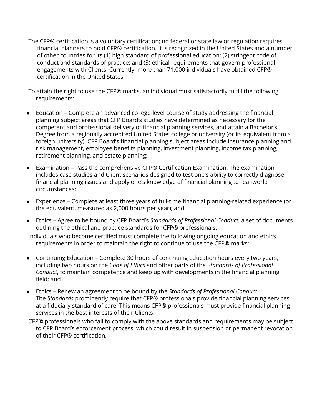The CFP® certification is a voluntary certification; no federal or state law or regulation requires financial planners to hold CFP® certification. It is recognized in the United States and a number of other countries for its (1) high standard of professional education; (2) stringent code of conduct and standards of practice; and (3) ethical requirements that govern professional engagements with Clients. Currently, more than 71,000 individuals have obtained CFP® certification in the United States.

To attain the right to use the CFP® marks, an individual must satisfactorily fulfill the following requirements:

- Education Complete an advanced college-level course of study addressing the financial planning subject areas that CFP Board's studies have determined as necessary for the competent and professional delivery of financial planning services, and attain a Bachelor's Degree from a regionally accredited United States college or university (or its equivalent from a foreign university). CFP Board's financial planning subject areas include insurance planning and risk management, employee benefits planning, investment planning, income tax planning, retirement planning, and estate planning;
- Examination Pass the comprehensive CFP® Certification Examination. The examination includes case studies and Client scenarios designed to test one's ability to correctly diagnose financial planning issues and apply one's knowledge of financial planning to real-world circumstances;
- Experience Complete at least three years of full-time financial planning-related experience (or the equivalent, measured as 2,000 hours per year); and
- Ethics Agree to be bound by CFP Board's *Standards of Professional Conduct*, a set of documents outlining the ethical and practice standards for CFP® professionals.

Individuals who become certified must complete the following ongoing education and ethics requirements in order to maintain the right to continue to use the CFP® marks:

- Continuing Education Complete 30 hours of continuing education hours every two years, including two hours on the *Code of Ethics* and other parts of the S*tandards of Professional Conduct*, to maintain competence and keep up with developments in the financial planning field; and
- Ethics Renew an agreement to be bound by the *Standards of Professional Conduct*. The *Standards* prominently require that CFP® professionals provide financial planning services at a fiduciary standard of care. This means CFP® professionals must provide financial planning services in the best interests of their Clients.
- CFP® professionals who fail to comply with the above standards and requirements may be subject to CFP Board's enforcement process, which could result in suspension or permanent revocation of their CFP® certification.